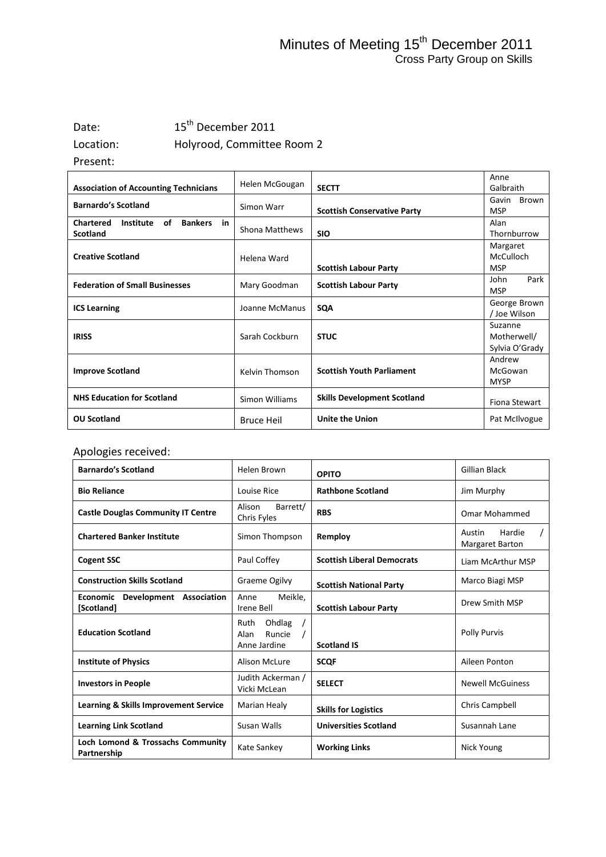### Minutes of Meeting 15<sup>th</sup> December 2011 Cross Party Group on Skills

## Date: 15<sup>th</sup> December 2011 Location: Holyrood, Committee Room 2

Present:

|                                                             |                   |                                    | Anne           |
|-------------------------------------------------------------|-------------------|------------------------------------|----------------|
| <b>Association of Accounting Technicians</b>                | Helen McGougan    | <b>SECTT</b>                       | Galbraith      |
| <b>Barnardo's Scotland</b>                                  |                   |                                    | Gavin<br>Brown |
|                                                             | Simon Warr        | <b>Scottish Conservative Party</b> | <b>MSP</b>     |
| of<br><b>Chartered</b><br>Institute<br><b>Bankers</b><br>in |                   |                                    | Alan           |
| <b>Scotland</b>                                             | Shona Matthews    | <b>SIO</b>                         | Thornburrow    |
|                                                             |                   |                                    | Margaret       |
| <b>Creative Scotland</b>                                    | Helena Ward       |                                    | McCulloch      |
|                                                             |                   | <b>Scottish Labour Party</b>       | <b>MSP</b>     |
| <b>Federation of Small Businesses</b>                       | Mary Goodman      |                                    | Park<br>John   |
|                                                             |                   | <b>Scottish Labour Party</b>       | <b>MSP</b>     |
| <b>ICS Learning</b>                                         | Joanne McManus    | <b>SQA</b>                         | George Brown   |
|                                                             |                   |                                    | / Joe Wilson   |
|                                                             |                   |                                    | Suzanne        |
| <b>IRISS</b>                                                | Sarah Cockburn    | <b>STUC</b>                        | Motherwell/    |
|                                                             |                   |                                    | Sylvia O'Grady |
|                                                             |                   |                                    | Andrew         |
| <b>Improve Scotland</b>                                     | Kelvin Thomson    | <b>Scottish Youth Parliament</b>   | McGowan        |
|                                                             |                   |                                    | <b>MYSP</b>    |
| <b>NHS Education for Scotland</b>                           | Simon Williams    | <b>Skills Development Scotland</b> |                |
|                                                             |                   |                                    | Fiona Stewart  |
| <b>OU Scotland</b>                                          | <b>Bruce Heil</b> | <b>Unite the Union</b>             | Pat McIlvogue  |

### Apologies received:

| <b>Barnardo's Scotland</b>                       | Helen Brown                                      | <b>OPITO</b>                      | Gillian Black                              |
|--------------------------------------------------|--------------------------------------------------|-----------------------------------|--------------------------------------------|
| <b>Bio Reliance</b>                              | Louise Rice                                      | <b>Rathbone Scotland</b>          | Jim Murphy                                 |
| <b>Castle Douglas Community IT Centre</b>        | Barrett/<br>Alison<br>Chris Fyles                | <b>RBS</b>                        | Omar Mohammed                              |
| <b>Chartered Banker Institute</b>                | Simon Thompson                                   | Remploy                           | Hardie<br>Austin<br><b>Margaret Barton</b> |
| <b>Cogent SSC</b>                                | Paul Coffey                                      | <b>Scottish Liberal Democrats</b> | Liam McArthur MSP                          |
| <b>Construction Skills Scotland</b>              | Graeme Ogilvy                                    | <b>Scottish National Party</b>    | Marco Biagi MSP                            |
| Economic Development Association<br>[Scotland]   | Meikle.<br>Anne<br>Irene Bell                    | <b>Scottish Labour Party</b>      | Drew Smith MSP                             |
| <b>Education Scotland</b>                        | Ohdlag<br>Ruth<br>Runcie<br>Alan<br>Anne Jardine | <b>Scotland IS</b>                | Polly Purvis                               |
| <b>Institute of Physics</b>                      | Alison McLure                                    | <b>SCQF</b>                       | Aileen Ponton                              |
| <b>Investors in People</b>                       | Judith Ackerman /<br>Vicki McLean                | <b>SELECT</b>                     | <b>Newell McGuiness</b>                    |
| <b>Learning &amp; Skills Improvement Service</b> | Marian Healy                                     | <b>Skills for Logistics</b>       | Chris Campbell                             |
| <b>Learning Link Scotland</b>                    | Susan Walls                                      | <b>Universities Scotland</b>      | Susannah Lane                              |
| Loch Lomond & Trossachs Community<br>Partnership | Kate Sankey                                      | <b>Working Links</b>              | Nick Young                                 |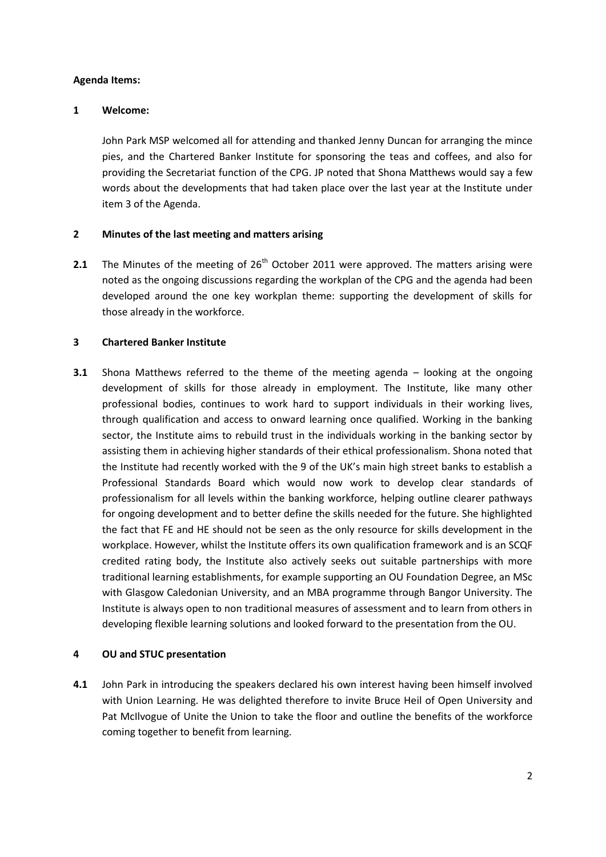#### **Agenda Items:**

#### **1 Welcome:**

John Park MSP welcomed all for attending and thanked Jenny Duncan for arranging the mince pies, and the Chartered Banker Institute for sponsoring the teas and coffees, and also for providing the Secretariat function of the CPG. JP noted that Shona Matthews would say a few words about the developments that had taken place over the last year at the Institute under item 3 of the Agenda.

#### **2 Minutes of the last meeting and matters arising**

**2.1** The Minutes of the meeting of 26<sup>th</sup> October 2011 were approved. The matters arising were noted as the ongoing discussions regarding the workplan of the CPG and the agenda had been developed around the one key workplan theme: supporting the development of skills for those already in the workforce.

#### **3 Chartered Banker Institute**

**3.1** Shona Matthews referred to the theme of the meeting agenda – looking at the ongoing development of skills for those already in employment. The Institute, like many other professional bodies, continues to work hard to support individuals in their working lives, through qualification and access to onward learning once qualified. Working in the banking sector, the Institute aims to rebuild trust in the individuals working in the banking sector by assisting them in achieving higher standards of their ethical professionalism. Shona noted that the Institute had recently worked with the 9 of the UK's main high street banks to establish a Professional Standards Board which would now work to develop clear standards of professionalism for all levels within the banking workforce, helping outline clearer pathways for ongoing development and to better define the skills needed for the future. She highlighted the fact that FE and HE should not be seen as the only resource for skills development in the workplace. However, whilst the Institute offers its own qualification framework and is an SCQF credited rating body, the Institute also actively seeks out suitable partnerships with more traditional learning establishments, for example supporting an OU Foundation Degree, an MSc with Glasgow Caledonian University, and an MBA programme through Bangor University. The Institute is always open to non traditional measures of assessment and to learn from others in developing flexible learning solutions and looked forward to the presentation from the OU.

#### **4 OU and STUC presentation**

**4.1** John Park in introducing the speakers declared his own interest having been himself involved with Union Learning. He was delighted therefore to invite Bruce Heil of Open University and Pat McIlvogue of Unite the Union to take the floor and outline the benefits of the workforce coming together to benefit from learning.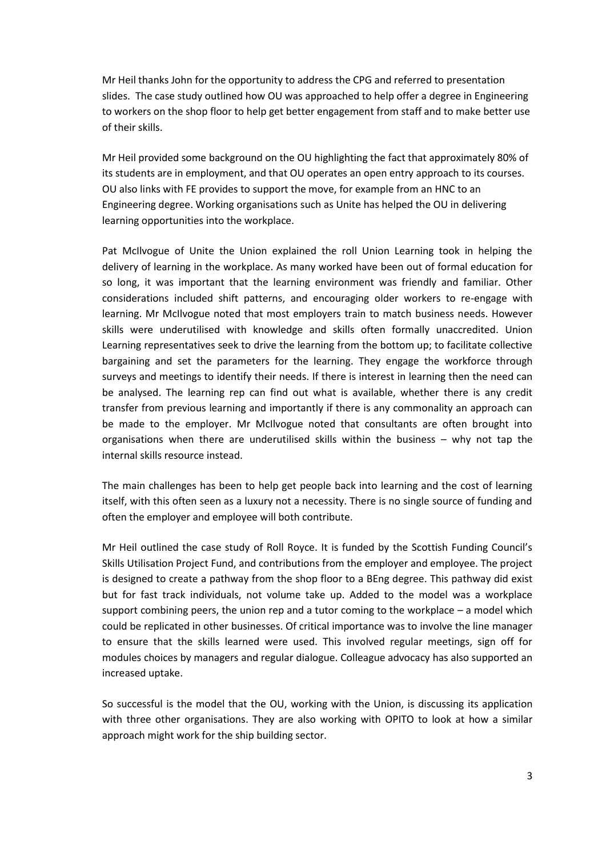Mr Heil thanks John for the opportunity to address the CPG and referred to presentation slides. The case study outlined how OU was approached to help offer a degree in Engineering to workers on the shop floor to help get better engagement from staff and to make better use of their skills.

Mr Heil provided some background on the OU highlighting the fact that approximately 80% of its students are in employment, and that OU operates an open entry approach to its courses. OU also links with FE provides to support the move, for example from an HNC to an Engineering degree. Working organisations such as Unite has helped the OU in delivering learning opportunities into the workplace.

Pat McIlvogue of Unite the Union explained the roll Union Learning took in helping the delivery of learning in the workplace. As many worked have been out of formal education for so long, it was important that the learning environment was friendly and familiar. Other considerations included shift patterns, and encouraging older workers to re-engage with learning. Mr McIlvogue noted that most employers train to match business needs. However skills were underutilised with knowledge and skills often formally unaccredited. Union Learning representatives seek to drive the learning from the bottom up; to facilitate collective bargaining and set the parameters for the learning. They engage the workforce through surveys and meetings to identify their needs. If there is interest in learning then the need can be analysed. The learning rep can find out what is available, whether there is any credit transfer from previous learning and importantly if there is any commonality an approach can be made to the employer. Mr McIlvogue noted that consultants are often brought into organisations when there are underutilised skills within the business – why not tap the internal skills resource instead.

The main challenges has been to help get people back into learning and the cost of learning itself, with this often seen as a luxury not a necessity. There is no single source of funding and often the employer and employee will both contribute.

Mr Heil outlined the case study of Roll Royce. It is funded by the Scottish Funding Council's Skills Utilisation Project Fund, and contributions from the employer and employee. The project is designed to create a pathway from the shop floor to a BEng degree. This pathway did exist but for fast track individuals, not volume take up. Added to the model was a workplace support combining peers, the union rep and a tutor coming to the workplace – a model which could be replicated in other businesses. Of critical importance was to involve the line manager to ensure that the skills learned were used. This involved regular meetings, sign off for modules choices by managers and regular dialogue. Colleague advocacy has also supported an increased uptake.

So successful is the model that the OU, working with the Union, is discussing its application with three other organisations. They are also working with OPITO to look at how a similar approach might work for the ship building sector.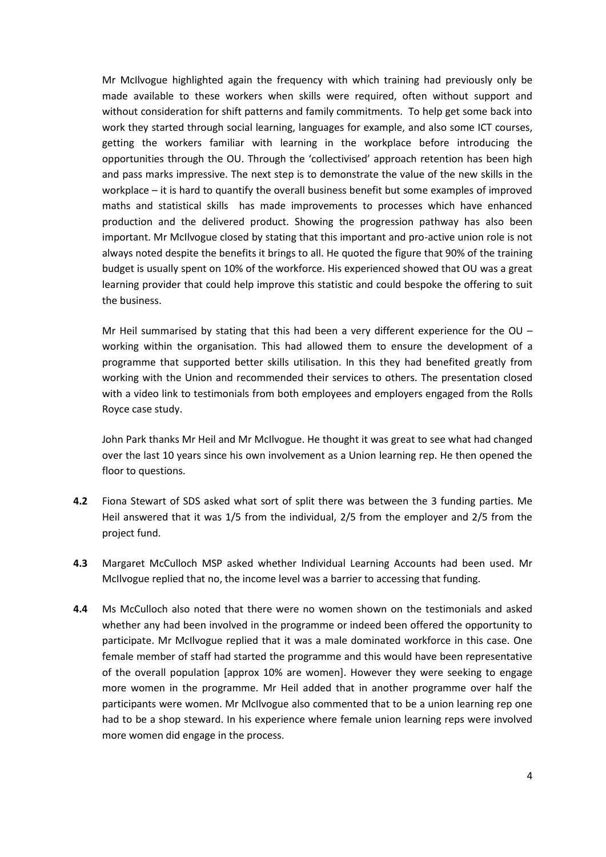Mr McIlvogue highlighted again the frequency with which training had previously only be made available to these workers when skills were required, often without support and without consideration for shift patterns and family commitments. To help get some back into work they started through social learning, languages for example, and also some ICT courses, getting the workers familiar with learning in the workplace before introducing the opportunities through the OU. Through the 'collectivised' approach retention has been high and pass marks impressive. The next step is to demonstrate the value of the new skills in the workplace – it is hard to quantify the overall business benefit but some examples of improved maths and statistical skills has made improvements to processes which have enhanced production and the delivered product. Showing the progression pathway has also been important. Mr McIlvogue closed by stating that this important and pro-active union role is not always noted despite the benefits it brings to all. He quoted the figure that 90% of the training budget is usually spent on 10% of the workforce. His experienced showed that OU was a great learning provider that could help improve this statistic and could bespoke the offering to suit the business.

Mr Heil summarised by stating that this had been a very different experience for the OU – working within the organisation. This had allowed them to ensure the development of a programme that supported better skills utilisation. In this they had benefited greatly from working with the Union and recommended their services to others. The presentation closed with a video link to testimonials from both employees and employers engaged from the Rolls Royce case study.

John Park thanks Mr Heil and Mr McIlvogue. He thought it was great to see what had changed over the last 10 years since his own involvement as a Union learning rep. He then opened the floor to questions.

- **4.2** Fiona Stewart of SDS asked what sort of split there was between the 3 funding parties. Me Heil answered that it was 1/5 from the individual, 2/5 from the employer and 2/5 from the project fund.
- **4.3** Margaret McCulloch MSP asked whether Individual Learning Accounts had been used. Mr McIlvogue replied that no, the income level was a barrier to accessing that funding.
- **4.4** Ms McCulloch also noted that there were no women shown on the testimonials and asked whether any had been involved in the programme or indeed been offered the opportunity to participate. Mr McIlvogue replied that it was a male dominated workforce in this case. One female member of staff had started the programme and this would have been representative of the overall population [approx 10% are women]. However they were seeking to engage more women in the programme. Mr Heil added that in another programme over half the participants were women. Mr McIlvogue also commented that to be a union learning rep one had to be a shop steward. In his experience where female union learning reps were involved more women did engage in the process.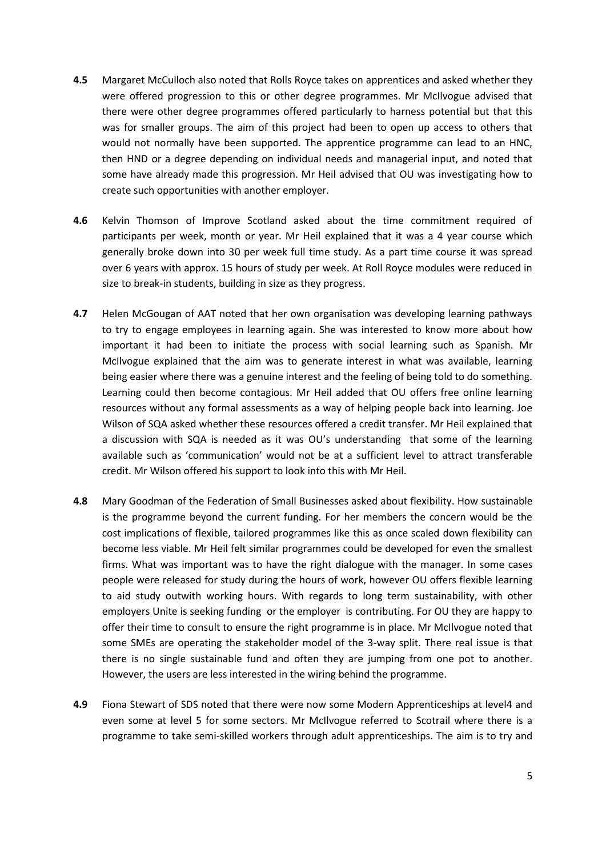- **4.5** Margaret McCulloch also noted that Rolls Royce takes on apprentices and asked whether they were offered progression to this or other degree programmes. Mr McIlvogue advised that there were other degree programmes offered particularly to harness potential but that this was for smaller groups. The aim of this project had been to open up access to others that would not normally have been supported. The apprentice programme can lead to an HNC, then HND or a degree depending on individual needs and managerial input, and noted that some have already made this progression. Mr Heil advised that OU was investigating how to create such opportunities with another employer.
- **4.6** Kelvin Thomson of Improve Scotland asked about the time commitment required of participants per week, month or year. Mr Heil explained that it was a 4 year course which generally broke down into 30 per week full time study. As a part time course it was spread over 6 years with approx. 15 hours of study per week. At Roll Royce modules were reduced in size to break-in students, building in size as they progress.
- **4.7** Helen McGougan of AAT noted that her own organisation was developing learning pathways to try to engage employees in learning again. She was interested to know more about how important it had been to initiate the process with social learning such as Spanish. Mr McIlvogue explained that the aim was to generate interest in what was available, learning being easier where there was a genuine interest and the feeling of being told to do something. Learning could then become contagious. Mr Heil added that OU offers free online learning resources without any formal assessments as a way of helping people back into learning. Joe Wilson of SQA asked whether these resources offered a credit transfer. Mr Heil explained that a discussion with SQA is needed as it was OU's understanding that some of the learning available such as 'communication' would not be at a sufficient level to attract transferable credit. Mr Wilson offered his support to look into this with Mr Heil.
- **4.8** Mary Goodman of the Federation of Small Businesses asked about flexibility. How sustainable is the programme beyond the current funding. For her members the concern would be the cost implications of flexible, tailored programmes like this as once scaled down flexibility can become less viable. Mr Heil felt similar programmes could be developed for even the smallest firms. What was important was to have the right dialogue with the manager. In some cases people were released for study during the hours of work, however OU offers flexible learning to aid study outwith working hours. With regards to long term sustainability, with other employers Unite is seeking funding or the employer is contributing. For OU they are happy to offer their time to consult to ensure the right programme is in place. Mr McIlvogue noted that some SMEs are operating the stakeholder model of the 3-way split. There real issue is that there is no single sustainable fund and often they are jumping from one pot to another. However, the users are less interested in the wiring behind the programme.
- **4.9** Fiona Stewart of SDS noted that there were now some Modern Apprenticeships at level4 and even some at level 5 for some sectors. Mr McIlvogue referred to Scotrail where there is a programme to take semi-skilled workers through adult apprenticeships. The aim is to try and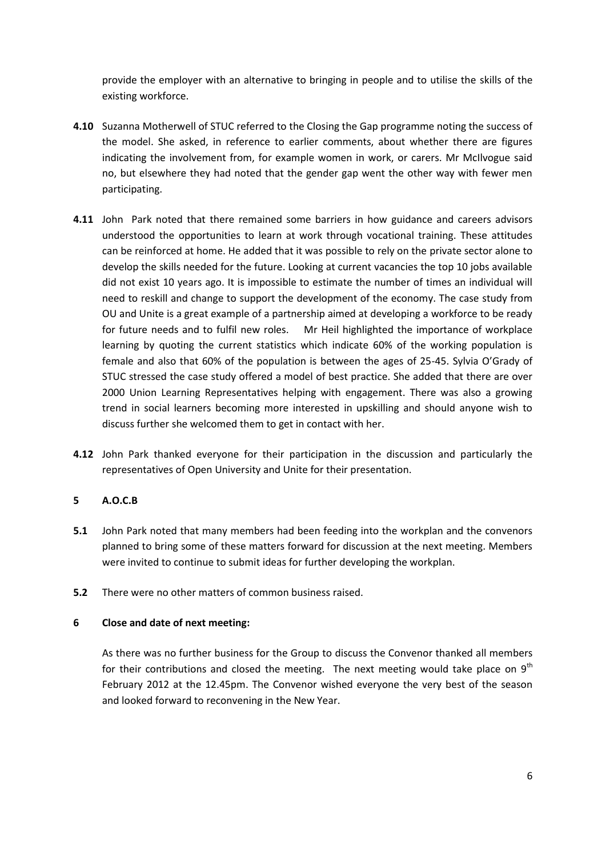provide the employer with an alternative to bringing in people and to utilise the skills of the existing workforce.

- **4.10** Suzanna Motherwell of STUC referred to the Closing the Gap programme noting the success of the model. She asked, in reference to earlier comments, about whether there are figures indicating the involvement from, for example women in work, or carers. Mr McIlvogue said no, but elsewhere they had noted that the gender gap went the other way with fewer men participating.
- **4.11** John Park noted that there remained some barriers in how guidance and careers advisors understood the opportunities to learn at work through vocational training. These attitudes can be reinforced at home. He added that it was possible to rely on the private sector alone to develop the skills needed for the future. Looking at current vacancies the top 10 jobs available did not exist 10 years ago. It is impossible to estimate the number of times an individual will need to reskill and change to support the development of the economy. The case study from OU and Unite is a great example of a partnership aimed at developing a workforce to be ready for future needs and to fulfil new roles. Mr Heil highlighted the importance of workplace learning by quoting the current statistics which indicate 60% of the working population is female and also that 60% of the population is between the ages of 25-45. Sylvia O'Grady of STUC stressed the case study offered a model of best practice. She added that there are over 2000 Union Learning Representatives helping with engagement. There was also a growing trend in social learners becoming more interested in upskilling and should anyone wish to discuss further she welcomed them to get in contact with her.
- **4.12** John Park thanked everyone for their participation in the discussion and particularly the representatives of Open University and Unite for their presentation.

#### **5 A.O.C.B**

- **5.1** John Park noted that many members had been feeding into the workplan and the convenors planned to bring some of these matters forward for discussion at the next meeting. Members were invited to continue to submit ideas for further developing the workplan.
- **5.2** There were no other matters of common business raised.

#### **6 Close and date of next meeting:**

As there was no further business for the Group to discuss the Convenor thanked all members for their contributions and closed the meeting. The next meeting would take place on  $9<sup>th</sup>$ February 2012 at the 12.45pm. The Convenor wished everyone the very best of the season and looked forward to reconvening in the New Year.